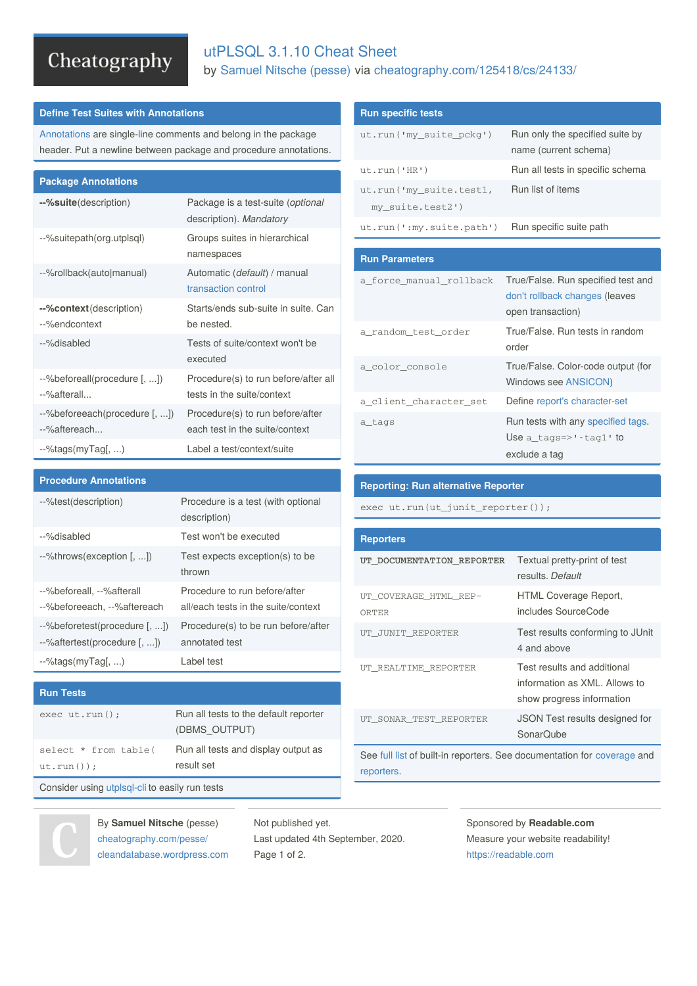# Cheatography

# utPLSQL 3.1.10 Cheat Sheet by [Samuel](http://www.cheatography.com/pesse/) Nitsche (pesse) via [cheatography.com/125418/cs/24133/](http://www.cheatography.com/pesse/cheat-sheets/utplsql-3-1-10)

# **Define Test Suites with Annotations**

[Annotations](http://utplsql.org/utPLSQL/v3.1.10/userguide/annotations.html) are single-line comments and belong in the package header. Put a newline between package and procedure annotations.

| <b>Package Annotations</b>                    |                                                                    |
|-----------------------------------------------|--------------------------------------------------------------------|
| --%suite(description)                         | Package is a test-suite (optional<br>description). Mandatory       |
| --%suitepath(org.utplsql)                     | Groups suites in hierarchical<br>namespaces                        |
| --%rollback(auto manual)                      | Automatic (default) / manual<br>transaction control                |
| --%context(description)<br>--%endcontext      | Starts/ends sub-suite in suite. Can<br>be nested.                  |
| --%disabled                                   | Tests of suite/context won't be<br>executed                        |
| --%beforeall(procedure [, ])<br>--%afterall   | Procedure(s) to run before/after all<br>tests in the suite/context |
| --%beforeeach(procedure [, ])<br>--%aftereach | Procedure(s) to run before/after<br>each test in the suite/context |
| $-$ %tags(myTag[, )                           | Label a test/context/suite                                         |

--%test(description) Procedure is a test (with optional

--%throws(exception [, ...]) Test expects exception(s) to be thrown

exec ut.run(); Run all tests to the default reporter

result set

--%disabled Test won't be executed

description)

annotated test

(DBMS\_OUTPUT)

Procedure to run before/after all/each tests in the suite/context

Procedure(s) to be run before/after

Run all tests and display output as

## **Run specific tests**

| ut.run('my_suite_pckg')                     | Run only the specified suite by<br>name (current schema)                                  |
|---------------------------------------------|-------------------------------------------------------------------------------------------|
| ut.run('HR')                                | Run all tests in specific schema                                                          |
| ut.run('my_suite.test1,<br>my_suite.test2') | Run list of items                                                                         |
| ut.run(':my.sub.path')                      | Run specific suite path                                                                   |
|                                             |                                                                                           |
| <b>Run Parameters</b>                       |                                                                                           |
| a force manual rollback                     | True/False. Run specified test and<br>don't rollback changes (leaves<br>open transaction) |
| a_random_test_order                         | True/False. Run tests in random                                                           |

|                        | order                                                      |
|------------------------|------------------------------------------------------------|
| a color console        | True/False. Color-code output (for<br>Windows see ANSICON) |
| a client character set | Define report's character-set                              |
| a_tags                 | Run tests with any specified tags.                         |
|                        | Use $a_{\text{tags}} \rightarrow + \text{tag1'}$ to        |
|                        | exclude a tag                                              |

#### **Reporting: Run alternative Reporter**

exec ut.run(ut\_junit\_reporter());

| <b>Reporters</b>               |                                                                                           |
|--------------------------------|-------------------------------------------------------------------------------------------|
| UT DOCUMENTATION REPORTER      | Textual pretty-print of test<br>results. Default                                          |
| UT COVERAGE HTML REP-<br>ORTER | HTML Coverage Report,<br>includes SourceCode                                              |
| UT JUNIT REPORTER              | Test results conforming to JUnit<br>4 and above                                           |
| UT REALTIME REPORTER           | Test results and additional<br>information as XML. Allows to<br>show progress information |
| UT SONAR TEST REPORTER         | <b>JSON Test results designed for</b><br>SonarQube                                        |

See [full](https://github.com/utplsql/utplsql-cli#reporters) list of built-in reporters. See documentation for [coverage](http://utplsql.org/utPLSQL/v3.1.10/userguide/coverage.html) and [reporters](http://utplsql.org/utPLSQL/v3.1.10/userguide/reporters.html).

Consider using [utplsql-cli](https://github.com/utplsql/utplsql-cli) to easily run tests

--%tags(myTag[, ...) Label test

**Procedure Annotations**

--%beforeall, --%afterall --%beforeeach, --%aftereach

--%beforetest(procedure [, ...]) --%aftertest(procedure [, ...])

select \* from table(



ut.run());

**Run Tests**

By **Samuel Nitsche** (pesse) [cheatography.com/pesse/](http://www.cheatography.com/pesse/) [cleandatabase.wordpress.com](https://cleandatabase.wordpress.com) Not published yet. Last updated 4th September, 2020. Page 1 of 2.

Sponsored by **Readable.com** Measure your website readability! <https://readable.com>